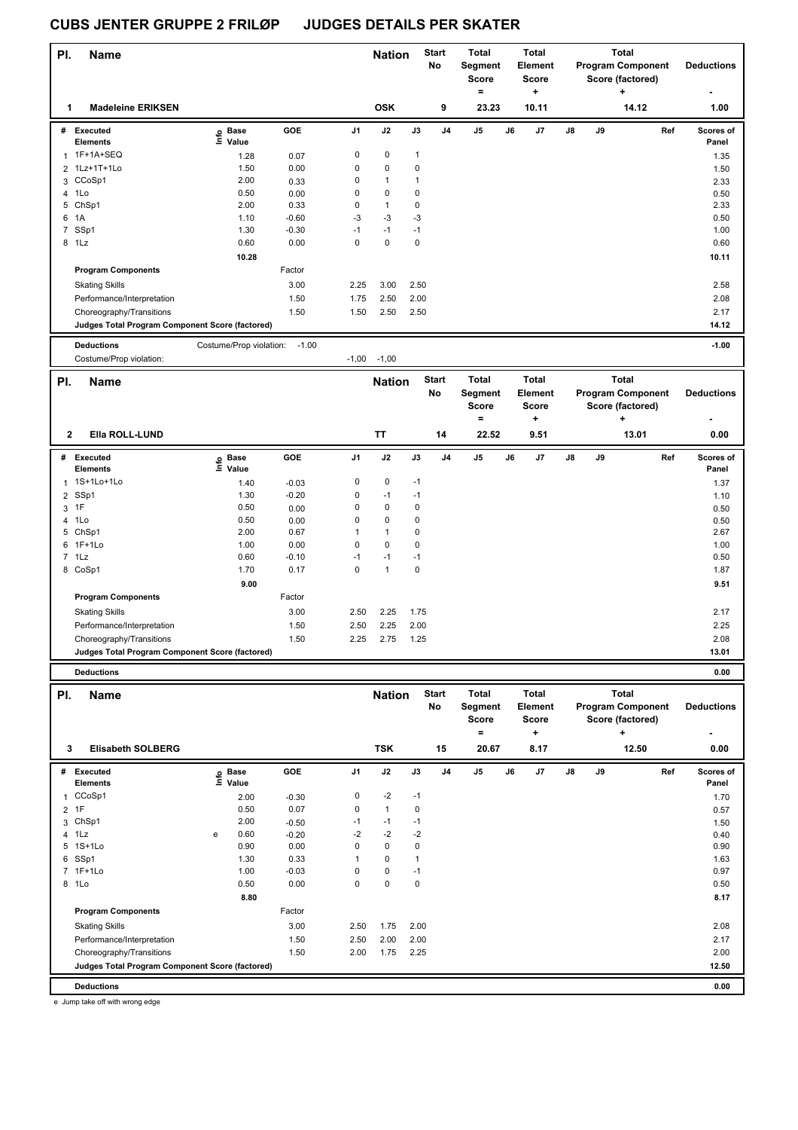| PI.            | <b>Name</b>                                     |                         |              |                | <b>Nation</b>          |                           | <b>Start</b><br>No | Total<br>Segment<br><b>Score</b><br>$=$ |    | Total<br>Element<br><b>Score</b><br>÷ |    |    | <b>Total</b><br><b>Program Component</b><br>Score (factored)<br>+ | <b>Deductions</b> |
|----------------|-------------------------------------------------|-------------------------|--------------|----------------|------------------------|---------------------------|--------------------|-----------------------------------------|----|---------------------------------------|----|----|-------------------------------------------------------------------|-------------------|
| 1              | <b>Madeleine ERIKSEN</b>                        |                         |              |                | <b>OSK</b>             |                           | 9                  | 23.23                                   |    | 10.11                                 |    |    | 14.12                                                             | 1.00              |
| #              | Executed                                        | e Base<br>E Value       | GOE          | J1             | J2                     | J3                        | J <sub>4</sub>     | J5                                      | J6 | J7                                    | J8 | J9 | Ref                                                               | Scores of         |
|                | <b>Elements</b><br>1F+1A+SEQ                    |                         |              | $\pmb{0}$      |                        |                           |                    |                                         |    |                                       |    |    |                                                                   | Panel             |
| 1              |                                                 | 1.28                    | 0.07         |                | $\pmb{0}$<br>$\pmb{0}$ | $\mathbf{1}$<br>$\pmb{0}$ |                    |                                         |    |                                       |    |    |                                                                   | 1.35              |
|                | 2 1Lz+1T+1Lo                                    | 1.50<br>2.00            | 0.00         | 0<br>0         | $\mathbf{1}$           | $\mathbf{1}$              |                    |                                         |    |                                       |    |    |                                                                   | 1.50              |
|                | 3 CCoSp1<br>4 1Lo                               | 0.50                    | 0.33         | 0              | 0                      | $\pmb{0}$                 |                    |                                         |    |                                       |    |    |                                                                   | 2.33              |
| 5              | ChSp1                                           | 2.00                    | 0.00<br>0.33 | 0              | $\mathbf{1}$           | $\pmb{0}$                 |                    |                                         |    |                                       |    |    |                                                                   | 0.50<br>2.33      |
| 6              | 1A                                              | 1.10                    | $-0.60$      | -3             | $-3$                   | $-3$                      |                    |                                         |    |                                       |    |    |                                                                   | 0.50              |
|                | 7 SSp1                                          | 1.30                    | $-0.30$      | $-1$           | $-1$                   | $-1$                      |                    |                                         |    |                                       |    |    |                                                                   | 1.00              |
|                | 8 1Lz                                           | 0.60                    | 0.00         | $\mathbf 0$    | $\pmb{0}$              | $\pmb{0}$                 |                    |                                         |    |                                       |    |    |                                                                   | 0.60              |
|                |                                                 | 10.28                   |              |                |                        |                           |                    |                                         |    |                                       |    |    |                                                                   | 10.11             |
|                | <b>Program Components</b>                       |                         | Factor       |                |                        |                           |                    |                                         |    |                                       |    |    |                                                                   |                   |
|                |                                                 |                         | 3.00         |                |                        |                           |                    |                                         |    |                                       |    |    |                                                                   |                   |
|                | <b>Skating Skills</b>                           |                         |              | 2.25           | 3.00                   | 2.50                      |                    |                                         |    |                                       |    |    |                                                                   | 2.58              |
|                | Performance/Interpretation                      |                         | 1.50         | 1.75           | 2.50                   | 2.00                      |                    |                                         |    |                                       |    |    |                                                                   | 2.08              |
|                | Choreography/Transitions                        |                         | 1.50         | 1.50           | 2.50                   | 2.50                      |                    |                                         |    |                                       |    |    |                                                                   | 2.17              |
|                | Judges Total Program Component Score (factored) |                         |              |                |                        |                           |                    |                                         |    |                                       |    |    |                                                                   | 14.12             |
|                | <b>Deductions</b>                               | Costume/Prop violation: | $-1.00$      |                |                        |                           |                    |                                         |    |                                       |    |    |                                                                   | $-1.00$           |
|                | Costume/Prop violation:                         |                         |              | $-1,00$        | $-1,00$                |                           |                    |                                         |    |                                       |    |    |                                                                   |                   |
|                |                                                 |                         |              |                |                        |                           | <b>Start</b>       | <b>Total</b>                            |    | Total                                 |    |    | <b>Total</b>                                                      |                   |
| PI.            | <b>Name</b>                                     |                         |              |                | <b>Nation</b>          |                           | No                 | Segment                                 |    | Element                               |    |    | <b>Program Component</b>                                          | <b>Deductions</b> |
|                |                                                 |                         |              |                |                        |                           |                    | <b>Score</b>                            |    | <b>Score</b>                          |    |    | Score (factored)                                                  |                   |
|                |                                                 |                         |              |                |                        |                           |                    | =                                       |    | ÷                                     |    |    | ۰.                                                                |                   |
|                |                                                 |                         |              |                |                        |                           |                    |                                         |    |                                       |    |    |                                                                   |                   |
| 2              | Ella ROLL-LUND                                  |                         |              |                | TT                     |                           | 14                 | 22.52                                   |    | 9.51                                  |    |    | 13.01                                                             | 0.00              |
|                | # Executed                                      |                         | GOE          | J1             | J2                     | J3                        | J <sub>4</sub>     | J5                                      | J6 | J7                                    | J8 | J9 | Ref                                                               | Scores of         |
|                | <b>Elements</b>                                 | e Base<br>⊑ Value       |              |                |                        |                           |                    |                                         |    |                                       |    |    |                                                                   | Panel             |
|                | 1 1S+1Lo+1Lo                                    | 1.40                    | $-0.03$      | 0              | $\pmb{0}$              | $-1$                      |                    |                                         |    |                                       |    |    |                                                                   | 1.37              |
| $\overline{2}$ | SSp1                                            | 1.30                    | $-0.20$      | 0              | $-1$                   | $-1$                      |                    |                                         |    |                                       |    |    |                                                                   | 1.10              |
| 3              | 1F                                              | 0.50                    | 0.00         | 0              | 0                      | $\pmb{0}$                 |                    |                                         |    |                                       |    |    |                                                                   | 0.50              |
|                | 4 1Lo                                           | 0.50                    | 0.00         | 0              | $\mathbf 0$            | $\pmb{0}$                 |                    |                                         |    |                                       |    |    |                                                                   | 0.50              |
|                | 5 ChSp1                                         | 2.00                    | 0.67         | $\overline{1}$ | $\mathbf{1}$           | $\pmb{0}$                 |                    |                                         |    |                                       |    |    |                                                                   | 2.67              |
|                | 6 1F+1Lo                                        | 1.00                    | 0.00         | 0              | $\mathbf 0$            | $\pmb{0}$                 |                    |                                         |    |                                       |    |    |                                                                   | 1.00              |
|                | $7$ 1 Lz                                        | 0.60                    | $-0.10$      | $-1$           | $-1$                   | $-1$                      |                    |                                         |    |                                       |    |    |                                                                   | 0.50              |
|                | 8 CoSp1                                         | 1.70                    | 0.17         | $\mathbf 0$    | $\mathbf{1}$           | $\pmb{0}$                 |                    |                                         |    |                                       |    |    |                                                                   | 1.87              |
|                |                                                 | 9.00                    |              |                |                        |                           |                    |                                         |    |                                       |    |    |                                                                   | 9.51              |
|                | <b>Program Components</b>                       |                         | Factor       |                |                        |                           |                    |                                         |    |                                       |    |    |                                                                   |                   |
|                |                                                 |                         |              |                |                        |                           |                    |                                         |    |                                       |    |    |                                                                   |                   |
|                | <b>Skating Skills</b>                           |                         | 3.00         | 2.50           | 2.25                   | 1.75                      |                    |                                         |    |                                       |    |    |                                                                   | 2.17              |
|                | Performance/Interpretation                      |                         | 1.50         | 2.50           | 2.25                   | 2.00                      |                    |                                         |    |                                       |    |    |                                                                   | 2.25              |
|                | Choreography/Transitions                        |                         | 1.50         | 2.25           | 2.75                   | 1.25                      |                    |                                         |    |                                       |    |    |                                                                   | 2.08              |
|                | Judges Total Program Component Score (factored) |                         |              |                |                        |                           |                    |                                         |    |                                       |    |    |                                                                   | 13.01             |
|                | <b>Deductions</b>                               |                         |              |                |                        |                           |                    |                                         |    |                                       |    |    |                                                                   | 0.00              |
|                |                                                 |                         |              |                |                        |                           |                    |                                         |    |                                       |    |    |                                                                   |                   |
| PI.            | <b>Name</b>                                     |                         |              |                | <b>Nation</b>          |                           | <b>Start</b>       | Total                                   |    | Total                                 |    |    | <b>Total</b>                                                      |                   |
|                |                                                 |                         |              |                |                        |                           | No                 | Segment                                 |    | Element                               |    |    | <b>Program Component</b>                                          | <b>Deductions</b> |
|                |                                                 |                         |              |                |                        |                           |                    | Score                                   |    | Score                                 |    |    | Score (factored)                                                  |                   |
|                |                                                 |                         |              |                |                        |                           |                    | $=$                                     |    | ÷                                     |    |    | ٠                                                                 |                   |
| 3              | <b>Elisabeth SOLBERG</b>                        |                         |              |                | <b>TSK</b>             |                           | 15                 | 20.67                                   |    | 8.17                                  |    |    | 12.50                                                             | 0.00              |
|                | # Executed                                      |                         | GOE          | J1             | J2                     | J3                        | J4                 | J5                                      | J6 | J7                                    | J8 | J9 | Ref                                                               | Scores of         |
|                | <b>Elements</b>                                 | e Base<br>⊆ Value       |              |                |                        |                           |                    |                                         |    |                                       |    |    |                                                                   | Panel             |
|                | 1 CCoSp1                                        | 2.00                    | $-0.30$      | 0              | $-2$                   | $-1$                      |                    |                                         |    |                                       |    |    |                                                                   | 1.70              |
| $\overline{2}$ | 1F                                              | 0.50                    | 0.07         | 0              | $\mathbf{1}$           | $\pmb{0}$                 |                    |                                         |    |                                       |    |    |                                                                   | 0.57              |
|                | 3 ChSp1                                         | 2.00                    | $-0.50$      | -1             | $-1$                   | $-1$                      |                    |                                         |    |                                       |    |    |                                                                   | 1.50              |
|                | 4 1Lz                                           | 0.60<br>e               | $-0.20$      | $-2$           | $-2$                   | $-2$                      |                    |                                         |    |                                       |    |    |                                                                   | 0.40              |
|                | 5 1S+1Lo                                        | 0.90                    | 0.00         | 0              | 0                      | $\pmb{0}$                 |                    |                                         |    |                                       |    |    |                                                                   | 0.90              |
|                | 6 SSp1                                          | 1.30                    | 0.33         | $\overline{1}$ | 0                      | $\mathbf{1}$              |                    |                                         |    |                                       |    |    |                                                                   | 1.63              |
|                | 7 1F+1Lo                                        | 1.00                    | $-0.03$      | 0              | 0                      | $-1$                      |                    |                                         |    |                                       |    |    |                                                                   | 0.97              |
|                | 8 1Lo                                           | 0.50                    | 0.00         | 0              | 0                      | $\pmb{0}$                 |                    |                                         |    |                                       |    |    |                                                                   | 0.50              |
|                |                                                 | 8.80                    |              |                |                        |                           |                    |                                         |    |                                       |    |    |                                                                   | 8.17              |
|                | <b>Program Components</b>                       |                         | Factor       |                |                        |                           |                    |                                         |    |                                       |    |    |                                                                   |                   |
|                | <b>Skating Skills</b>                           |                         | 3.00         | 2.50           | 1.75                   | 2.00                      |                    |                                         |    |                                       |    |    |                                                                   | 2.08              |
|                | Performance/Interpretation                      |                         | 1.50         | 2.50           | 2.00                   | 2.00                      |                    |                                         |    |                                       |    |    |                                                                   | 2.17              |
|                | Choreography/Transitions                        |                         | 1.50         | 2.00           | 1.75                   | 2.25                      |                    |                                         |    |                                       |    |    |                                                                   | 2.00              |
|                | Judges Total Program Component Score (factored) |                         |              |                |                        |                           |                    |                                         |    |                                       |    |    |                                                                   | 12.50             |
|                |                                                 |                         |              |                |                        |                           |                    |                                         |    |                                       |    |    |                                                                   |                   |
|                | <b>Deductions</b>                               |                         |              |                |                        |                           |                    |                                         |    |                                       |    |    |                                                                   | 0.00              |

e Jump take off with wrong edge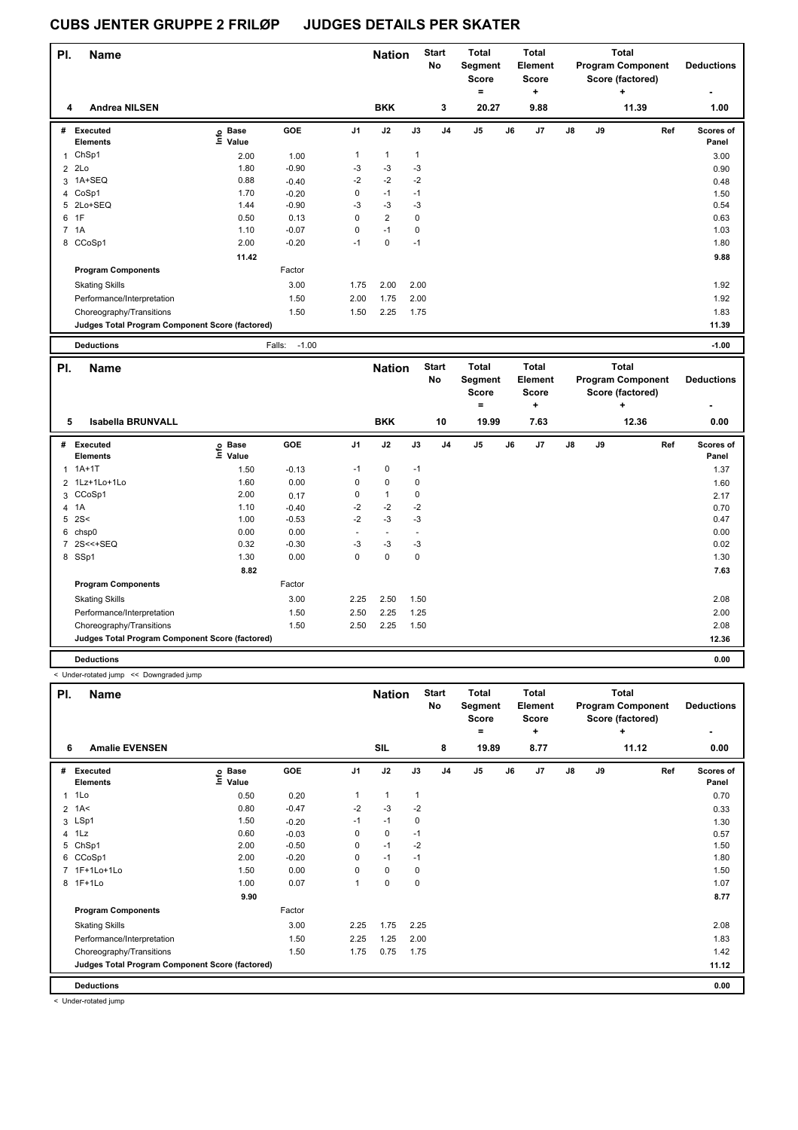| PI. | <b>Name</b>                                     |                              |                   |                | <b>Nation</b>  |              | <b>Start</b><br>No | <b>Total</b><br>Segment<br>Score |    | <b>Total</b><br>Element<br><b>Score</b> |    |    | <b>Total</b><br><b>Program Component</b><br>Score (factored) | <b>Deductions</b>  |
|-----|-------------------------------------------------|------------------------------|-------------------|----------------|----------------|--------------|--------------------|----------------------------------|----|-----------------------------------------|----|----|--------------------------------------------------------------|--------------------|
| 4   | <b>Andrea NILSEN</b>                            |                              |                   |                | <b>BKK</b>     |              | 3                  | $\equiv$<br>20.27                |    | ٠<br>9.88                               |    |    | ÷<br>11.39                                                   | ٠<br>1.00          |
| #   | <b>Executed</b><br><b>Elements</b>              | <b>Base</b><br>lnfo<br>Value | GOE               | J <sub>1</sub> | J2             | J3           | J <sub>4</sub>     | J <sub>5</sub>                   | J6 | J7                                      | J8 | J9 | Ref                                                          | Scores of<br>Panel |
|     | ChSp1                                           | 2.00                         | 1.00              | $\mathbf{1}$   | $\mathbf{1}$   | $\mathbf{1}$ |                    |                                  |    |                                         |    |    |                                                              | 3.00               |
|     | $2$ 2Lo                                         | 1.80                         | $-0.90$           | $-3$           | $-3$           | $-3$         |                    |                                  |    |                                         |    |    |                                                              | 0.90               |
|     | 3 1A+SEQ                                        | 0.88                         | $-0.40$           | $-2$           | $-2$           | $-2$         |                    |                                  |    |                                         |    |    |                                                              | 0.48               |
|     | 4 CoSp1                                         | 1.70                         | $-0.20$           | 0              | $-1$           | $-1$         |                    |                                  |    |                                         |    |    |                                                              | 1.50               |
|     | 5 2Lo+SEQ                                       | 1.44                         | $-0.90$           | -3             | $-3$           | -3           |                    |                                  |    |                                         |    |    |                                                              | 0.54               |
|     | 6 1F                                            | 0.50                         | 0.13              | $\mathbf 0$    | $\overline{2}$ | $\mathbf 0$  |                    |                                  |    |                                         |    |    |                                                              | 0.63               |
|     | 7 1A                                            | 1.10                         | $-0.07$           | $\mathbf 0$    | $-1$           | 0            |                    |                                  |    |                                         |    |    |                                                              | 1.03               |
|     | 8 CCoSp1                                        | 2.00                         | $-0.20$           | $-1$           | $\pmb{0}$      | $-1$         |                    |                                  |    |                                         |    |    |                                                              | 1.80               |
|     |                                                 | 11.42                        |                   |                |                |              |                    |                                  |    |                                         |    |    |                                                              | 9.88               |
|     | <b>Program Components</b>                       |                              | Factor            |                |                |              |                    |                                  |    |                                         |    |    |                                                              |                    |
|     | <b>Skating Skills</b>                           |                              | 3.00              | 1.75           | 2.00           | 2.00         |                    |                                  |    |                                         |    |    |                                                              | 1.92               |
|     | Performance/Interpretation                      |                              | 1.50              | 2.00           | 1.75           | 2.00         |                    |                                  |    |                                         |    |    |                                                              | 1.92               |
|     | Choreography/Transitions                        |                              | 1.50              | 1.50           | 2.25           | 1.75         |                    |                                  |    |                                         |    |    |                                                              | 1.83               |
|     | Judges Total Program Component Score (factored) |                              |                   |                |                |              |                    |                                  |    |                                         |    |    |                                                              | 11.39              |
|     | <b>Deductions</b>                               |                              | $-1.00$<br>Falls: |                |                |              |                    |                                  |    |                                         |    |    |                                                              | $-1.00$            |

| PI.          | <b>Name</b>                                     |                            |            |                | <b>Nation</b> |      | <b>Start</b><br><b>No</b> | <b>Total</b><br>Segment<br><b>Score</b><br>$=$ |    | <b>Total</b><br>Element<br><b>Score</b><br>÷ |    |    | <b>Total</b><br><b>Program Component</b><br>Score (factored)<br>÷ | <b>Deductions</b>  |
|--------------|-------------------------------------------------|----------------------------|------------|----------------|---------------|------|---------------------------|------------------------------------------------|----|----------------------------------------------|----|----|-------------------------------------------------------------------|--------------------|
| 5            | <b>Isabella BRUNVALL</b>                        |                            |            |                | <b>BKK</b>    |      | 10                        | 19.99                                          |    | 7.63                                         |    |    | 12.36                                                             | 0.00               |
| #            | Executed<br><b>Elements</b>                     | e Base<br>E Value<br>Value | <b>GOE</b> | J <sub>1</sub> | J2            | J3   | J <sub>4</sub>            | J <sub>5</sub>                                 | J6 | J7                                           | J8 | J9 | Ref                                                               | Scores of<br>Panel |
| $\mathbf{1}$ | $1A+1T$                                         | 1.50                       | $-0.13$    | $-1$           | 0             | $-1$ |                           |                                                |    |                                              |    |    |                                                                   | 1.37               |
|              | 2 1Lz+1Lo+1Lo                                   | 1.60                       | 0.00       | 0              | 0             | 0    |                           |                                                |    |                                              |    |    |                                                                   | 1.60               |
|              | 3 CCoSp1                                        | 2.00                       | 0.17       | 0              | $\mathbf{1}$  | 0    |                           |                                                |    |                                              |    |    |                                                                   | 2.17               |
|              | 4 1A                                            | 1.10                       | $-0.40$    | $-2$           | $-2$          | $-2$ |                           |                                                |    |                                              |    |    |                                                                   | 0.70               |
|              | $5 \, 2S <$                                     | 1.00                       | $-0.53$    | $-2$           | $-3$          | -3   |                           |                                                |    |                                              |    |    |                                                                   | 0.47               |
|              | 6 chsp0                                         | 0.00                       | 0.00       |                |               |      |                           |                                                |    |                                              |    |    |                                                                   | 0.00               |
|              | 7 2S<<+SEQ                                      | 0.32                       | $-0.30$    | $-3$           | $-3$          | $-3$ |                           |                                                |    |                                              |    |    |                                                                   | 0.02               |
|              | 8 SSp1                                          | 1.30                       | 0.00       | 0              | 0             | 0    |                           |                                                |    |                                              |    |    |                                                                   | 1.30               |
|              |                                                 | 8.82                       |            |                |               |      |                           |                                                |    |                                              |    |    |                                                                   | 7.63               |
|              | <b>Program Components</b>                       |                            | Factor     |                |               |      |                           |                                                |    |                                              |    |    |                                                                   |                    |
|              | <b>Skating Skills</b>                           |                            | 3.00       | 2.25           | 2.50          | 1.50 |                           |                                                |    |                                              |    |    |                                                                   | 2.08               |
|              | Performance/Interpretation                      |                            | 1.50       | 2.50           | 2.25          | 1.25 |                           |                                                |    |                                              |    |    |                                                                   | 2.00               |
|              | Choreography/Transitions                        |                            | 1.50       | 2.50           | 2.25          | 1.50 |                           |                                                |    |                                              |    |    |                                                                   | 2.08               |
|              | Judges Total Program Component Score (factored) |                            |            |                |               |      |                           |                                                |    |                                              |    |    |                                                                   | 12.36              |
|              | <b>Deductions</b>                               |                            |            |                |               |      |                           |                                                |    |                                              |    |    |                                                                   | 0.00               |

< Under-rotated jump << Downgraded jump

| PI.            | <b>Name</b>                                     |                            |         |                | <b>Nation</b> |      | <b>Start</b><br>No | <b>Total</b><br>Segment<br><b>Score</b><br>$=$ |    | Total<br>Element<br><b>Score</b><br>÷ |    |    | <b>Total</b><br><b>Program Component</b><br>Score (factored)<br>÷ | <b>Deductions</b><br>۰ |
|----------------|-------------------------------------------------|----------------------------|---------|----------------|---------------|------|--------------------|------------------------------------------------|----|---------------------------------------|----|----|-------------------------------------------------------------------|------------------------|
| 6              | <b>Amalie EVENSEN</b>                           |                            |         |                | SIL           |      | 8                  | 19.89                                          |    | 8.77                                  |    |    | 11.12                                                             | 0.00                   |
| #              | Executed<br><b>Elements</b>                     | e Base<br>E Value<br>Value | GOE     | J <sub>1</sub> | J2            | J3   | J <sub>4</sub>     | J <sub>5</sub>                                 | J6 | J7                                    | J8 | J9 | Ref                                                               | Scores of<br>Panel     |
| $\mathbf{1}$   | 1Lo                                             | 0.50                       | 0.20    | 1              | 1             | 1    |                    |                                                |    |                                       |    |    |                                                                   | 0.70                   |
| $\overline{2}$ | 1A<                                             | 0.80                       | $-0.47$ | $-2$           | $-3$          | $-2$ |                    |                                                |    |                                       |    |    |                                                                   | 0.33                   |
|                | 3 LSp1                                          | 1.50                       | $-0.20$ | $-1$           | $-1$          | 0    |                    |                                                |    |                                       |    |    |                                                                   | 1.30                   |
|                | 4 1Lz                                           | 0.60                       | $-0.03$ | 0              | 0             | $-1$ |                    |                                                |    |                                       |    |    |                                                                   | 0.57                   |
| 5              | ChSp1                                           | 2.00                       | $-0.50$ | 0              | $-1$          | $-2$ |                    |                                                |    |                                       |    |    |                                                                   | 1.50                   |
| 6              | CCoSp1                                          | 2.00                       | $-0.20$ | 0              | $-1$          | $-1$ |                    |                                                |    |                                       |    |    |                                                                   | 1.80                   |
|                | 7 1F+1Lo+1Lo                                    | 1.50                       | 0.00    | 0              | 0             | 0    |                    |                                                |    |                                       |    |    |                                                                   | 1.50                   |
|                | 8 1F+1Lo                                        | 1.00                       | 0.07    | 1              | 0             | 0    |                    |                                                |    |                                       |    |    |                                                                   | 1.07                   |
|                |                                                 | 9.90                       |         |                |               |      |                    |                                                |    |                                       |    |    |                                                                   | 8.77                   |
|                | <b>Program Components</b>                       |                            | Factor  |                |               |      |                    |                                                |    |                                       |    |    |                                                                   |                        |
|                | <b>Skating Skills</b>                           |                            | 3.00    | 2.25           | 1.75          | 2.25 |                    |                                                |    |                                       |    |    |                                                                   | 2.08                   |
|                | Performance/Interpretation                      |                            | 1.50    | 2.25           | 1.25          | 2.00 |                    |                                                |    |                                       |    |    |                                                                   | 1.83                   |
|                | Choreography/Transitions                        |                            | 1.50    | 1.75           | 0.75          | 1.75 |                    |                                                |    |                                       |    |    |                                                                   | 1.42                   |
|                | Judges Total Program Component Score (factored) |                            |         |                |               |      |                    |                                                |    |                                       |    |    |                                                                   | 11.12                  |
|                | <b>Deductions</b>                               |                            |         |                |               |      |                    |                                                |    |                                       |    |    |                                                                   | 0.00                   |

< Under-rotated jump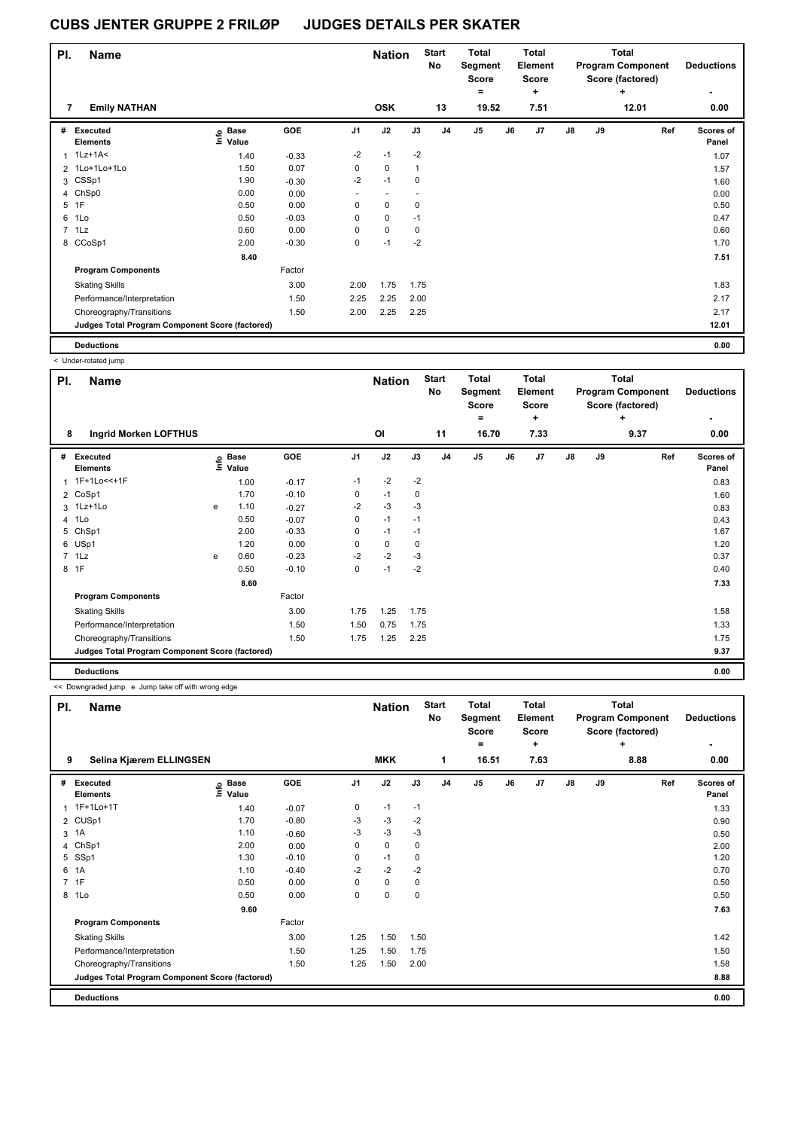| PI. | <b>Name</b>                                     |                   |         |                | <b>Nation</b> |              | <b>Start</b><br>No | <b>Total</b><br>Segment<br><b>Score</b> |    | Total<br>Element<br><b>Score</b> |    |    | <b>Total</b><br><b>Program Component</b><br>Score (factored) | <b>Deductions</b>  |
|-----|-------------------------------------------------|-------------------|---------|----------------|---------------|--------------|--------------------|-----------------------------------------|----|----------------------------------|----|----|--------------------------------------------------------------|--------------------|
|     |                                                 |                   |         |                |               |              |                    | $=$                                     |    | $\ddot{}$                        |    |    | ٠                                                            |                    |
| 7   | <b>Emily NATHAN</b>                             |                   |         |                | <b>OSK</b>    |              | 13                 | 19.52                                   |    | 7.51                             |    |    | 12.01                                                        | 0.00               |
| #   | Executed<br><b>Elements</b>                     | e Base<br>E Value | GOE     | J <sub>1</sub> | J2            | J3           | J <sub>4</sub>     | J <sub>5</sub>                          | J6 | J <sub>7</sub>                   | J8 | J9 | Ref                                                          | Scores of<br>Panel |
| 1   | $1Lz+1A<$                                       | 1.40              | $-0.33$ | $-2$           | $-1$          | $-2$         |                    |                                         |    |                                  |    |    |                                                              | 1.07               |
|     | 2 1Lo+1Lo+1Lo                                   | 1.50              | 0.07    | 0              | $\mathbf 0$   | $\mathbf{1}$ |                    |                                         |    |                                  |    |    |                                                              | 1.57               |
|     | 3 CSSp1                                         | 1.90              | $-0.30$ | $-2$           | $-1$          | $\mathbf 0$  |                    |                                         |    |                                  |    |    |                                                              | 1.60               |
|     | 4 ChSp0                                         | 0.00              | 0.00    |                |               |              |                    |                                         |    |                                  |    |    |                                                              | 0.00               |
|     | 5 1F                                            | 0.50              | 0.00    | 0              | $\mathbf 0$   | 0            |                    |                                         |    |                                  |    |    |                                                              | 0.50               |
| 6   | 1Lo                                             | 0.50              | $-0.03$ | 0              | $\mathbf 0$   | $-1$         |                    |                                         |    |                                  |    |    |                                                              | 0.47               |
|     | $7$ 1 Lz                                        | 0.60              | 0.00    | 0              | $\pmb{0}$     | 0            |                    |                                         |    |                                  |    |    |                                                              | 0.60               |
|     | 8 CCoSp1                                        | 2.00              | $-0.30$ | 0              | $-1$          | $-2$         |                    |                                         |    |                                  |    |    |                                                              | 1.70               |
|     |                                                 | 8.40              |         |                |               |              |                    |                                         |    |                                  |    |    |                                                              | 7.51               |
|     | <b>Program Components</b>                       |                   | Factor  |                |               |              |                    |                                         |    |                                  |    |    |                                                              |                    |
|     | <b>Skating Skills</b>                           |                   | 3.00    | 2.00           | 1.75          | 1.75         |                    |                                         |    |                                  |    |    |                                                              | 1.83               |
|     | Performance/Interpretation                      |                   | 1.50    | 2.25           | 2.25          | 2.00         |                    |                                         |    |                                  |    |    |                                                              | 2.17               |
|     | Choreography/Transitions                        |                   | 1.50    | 2.00           | 2.25          | 2.25         |                    |                                         |    |                                  |    |    |                                                              | 2.17               |
|     | Judges Total Program Component Score (factored) |                   |         |                |               |              |                    |                                         |    |                                  |    |    |                                                              | 12.01              |
|     | <b>Deductions</b>                               |                   |         |                |               |              |                    |                                         |    |                                  |    |    |                                                              | 0.00               |

< Under-rotated jump

|     | anaan rawwa jamp                                |   |                      |         |                |               |      |                    |                                         |    |                                  |               |    |                                                              |                    |
|-----|-------------------------------------------------|---|----------------------|---------|----------------|---------------|------|--------------------|-----------------------------------------|----|----------------------------------|---------------|----|--------------------------------------------------------------|--------------------|
| PI. | Name                                            |   |                      |         |                | <b>Nation</b> |      | <b>Start</b><br>No | <b>Total</b><br>Segment<br><b>Score</b> |    | Total<br>Element<br><b>Score</b> |               |    | <b>Total</b><br><b>Program Component</b><br>Score (factored) | <b>Deductions</b>  |
|     |                                                 |   |                      |         |                |               |      |                    | ۰                                       |    | ÷                                |               |    | ٠                                                            |                    |
| 8   | <b>Ingrid Morken LOFTHUS</b>                    |   |                      |         |                | ΟI            |      | 11                 | 16.70                                   |    | 7.33                             |               |    | 9.37                                                         | 0.00               |
| #   | Executed<br><b>Elements</b>                     | e | <b>Base</b><br>Value | GOE     | J <sub>1</sub> | J2            | J3   | J <sub>4</sub>     | J5                                      | J6 | J7                               | $\mathsf{J}8$ | J9 | Ref                                                          | Scores of<br>Panel |
| 1   | 1F+1Lo<<+1F                                     |   | 1.00                 | $-0.17$ | $-1$           | $-2$          | $-2$ |                    |                                         |    |                                  |               |    |                                                              | 0.83               |
|     | 2 CoSp1                                         |   | 1.70                 | $-0.10$ | 0              | $-1$          | 0    |                    |                                         |    |                                  |               |    |                                                              | 1.60               |
| 3   | 1Lz+1Lo                                         | e | 1.10                 | $-0.27$ | $-2$           | $-3$          | $-3$ |                    |                                         |    |                                  |               |    |                                                              | 0.83               |
|     | 4 1Lo                                           |   | 0.50                 | $-0.07$ | 0              | $-1$          | $-1$ |                    |                                         |    |                                  |               |    |                                                              | 0.43               |
| 5   | ChSp1                                           |   | 2.00                 | $-0.33$ | 0              | $-1$          | $-1$ |                    |                                         |    |                                  |               |    |                                                              | 1.67               |
|     | 6 USp1                                          |   | 1.20                 | 0.00    | 0              | $\mathbf 0$   | 0    |                    |                                         |    |                                  |               |    |                                                              | 1.20               |
|     | $7$ 1 Lz                                        | e | 0.60                 | $-0.23$ | $-2$           | $-2$          | -3   |                    |                                         |    |                                  |               |    |                                                              | 0.37               |
| 8   | 1F                                              |   | 0.50                 | $-0.10$ | 0              | $-1$          | $-2$ |                    |                                         |    |                                  |               |    |                                                              | 0.40               |
|     |                                                 |   | 8.60                 |         |                |               |      |                    |                                         |    |                                  |               |    |                                                              | 7.33               |
|     | <b>Program Components</b>                       |   |                      | Factor  |                |               |      |                    |                                         |    |                                  |               |    |                                                              |                    |
|     | <b>Skating Skills</b>                           |   |                      | 3.00    | 1.75           | 1.25          | 1.75 |                    |                                         |    |                                  |               |    |                                                              | 1.58               |
|     | Performance/Interpretation                      |   |                      | 1.50    | 1.50           | 0.75          | 1.75 |                    |                                         |    |                                  |               |    |                                                              | 1.33               |
|     | Choreography/Transitions                        |   |                      | 1.50    | 1.75           | 1.25          | 2.25 |                    |                                         |    |                                  |               |    |                                                              | 1.75               |
|     | Judges Total Program Component Score (factored) |   |                      |         |                |               |      |                    |                                         |    |                                  |               |    |                                                              | 9.37               |
|     | <b>Deductions</b>                               |   |                      |         |                |               |      |                    |                                         |    |                                  |               |    |                                                              | 0.00               |

<< Downgraded jump e Jump take off with wrong edge

| PI.            | Name                                            |                   |         |                | <b>Nation</b> |             | <b>Start</b><br><b>No</b> | <b>Total</b><br>Segment<br><b>Score</b><br>۰ |    | <b>Total</b><br>Element<br><b>Score</b><br>÷ |    |    | <b>Total</b><br><b>Program Component</b><br>Score (factored)<br>٠ | <b>Deductions</b>  |
|----------------|-------------------------------------------------|-------------------|---------|----------------|---------------|-------------|---------------------------|----------------------------------------------|----|----------------------------------------------|----|----|-------------------------------------------------------------------|--------------------|
| 9              | Selina Kjærem ELLINGSEN                         |                   |         |                | <b>MKK</b>    |             | 1                         | 16.51                                        |    | 7.63                                         |    |    | 8.88                                                              | 0.00               |
| #              | <b>Executed</b><br><b>Elements</b>              | e Base<br>E Value | GOE     | J <sub>1</sub> | J2            | J3          | J <sub>4</sub>            | J <sub>5</sub>                               | J6 | J <sub>7</sub>                               | J8 | J9 | Ref                                                               | Scores of<br>Panel |
| 1              | 1F+1Lo+1T                                       | 1.40              | $-0.07$ | 0              | $-1$          | $-1$        |                           |                                              |    |                                              |    |    |                                                                   | 1.33               |
|                | 2 CUSp1                                         | 1.70              | $-0.80$ | $-3$           | $-3$          | $-2$        |                           |                                              |    |                                              |    |    |                                                                   | 0.90               |
| 3              | 1A                                              | 1.10              | $-0.60$ | $-3$           | $-3$          | $-3$        |                           |                                              |    |                                              |    |    |                                                                   | 0.50               |
| 4              | ChSp1                                           | 2.00              | 0.00    | 0              | 0             | 0           |                           |                                              |    |                                              |    |    |                                                                   | 2.00               |
| 5              | SSp1                                            | 1.30              | $-0.10$ | 0              | $-1$          | 0           |                           |                                              |    |                                              |    |    |                                                                   | 1.20               |
| 6              | 1A                                              | 1.10              | $-0.40$ | $-2$           | $-2$          | $-2$        |                           |                                              |    |                                              |    |    |                                                                   | 0.70               |
| $\overline{7}$ | 1F                                              | 0.50              | 0.00    | 0              | $\mathbf 0$   | 0           |                           |                                              |    |                                              |    |    |                                                                   | 0.50               |
| 8              | 1Lo                                             | 0.50              | 0.00    | 0              | 0             | $\mathbf 0$ |                           |                                              |    |                                              |    |    |                                                                   | 0.50               |
|                |                                                 | 9.60              |         |                |               |             |                           |                                              |    |                                              |    |    |                                                                   | 7.63               |
|                | <b>Program Components</b>                       |                   | Factor  |                |               |             |                           |                                              |    |                                              |    |    |                                                                   |                    |
|                | <b>Skating Skills</b>                           |                   | 3.00    | 1.25           | 1.50          | 1.50        |                           |                                              |    |                                              |    |    |                                                                   | 1.42               |
|                | Performance/Interpretation                      |                   | 1.50    | 1.25           | 1.50          | 1.75        |                           |                                              |    |                                              |    |    |                                                                   | 1.50               |
|                | Choreography/Transitions                        |                   | 1.50    | 1.25           | 1.50          | 2.00        |                           |                                              |    |                                              |    |    |                                                                   | 1.58               |
|                | Judges Total Program Component Score (factored) |                   |         |                |               |             |                           |                                              |    |                                              |    |    |                                                                   | 8.88               |
|                | <b>Deductions</b>                               |                   |         |                |               |             |                           |                                              |    |                                              |    |    |                                                                   | 0.00               |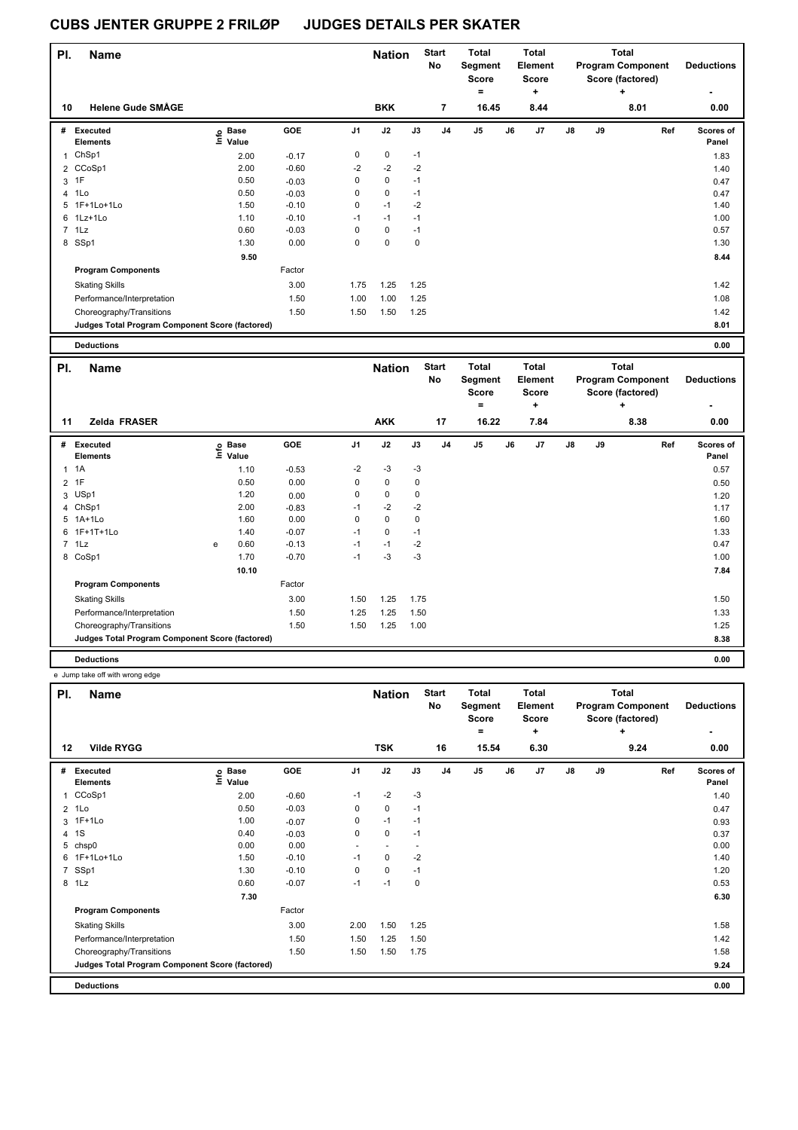| PI. | <b>Name</b>                                            |                                  |                      |                | <b>Nation</b> |             | <b>Start</b><br><b>No</b> | <b>Total</b><br>Segment<br><b>Score</b><br>$\equiv$ | <b>Total</b><br>Element<br><b>Score</b><br>$\ddot{}$ |               |        | <b>Total</b><br><b>Program Component</b><br>Score (factored) | <b>Deductions</b>  |
|-----|--------------------------------------------------------|----------------------------------|----------------------|----------------|---------------|-------------|---------------------------|-----------------------------------------------------|------------------------------------------------------|---------------|--------|--------------------------------------------------------------|--------------------|
| 10  | <b>Helene Gude SMÅGE</b>                               |                                  |                      |                | <b>BKK</b>    |             | $\overline{7}$            | 16.45                                               | 8.44                                                 |               |        | 8.01                                                         | 0.00               |
| #   | Executed<br><b>Elements</b>                            | <b>Base</b><br>e Base<br>E Value | GOE                  | J <sub>1</sub> | J2            | J3          | J <sub>4</sub>            | J <sub>5</sub>                                      | J6<br>J7                                             | $\mathsf{J}8$ | J9     | Ref                                                          | Scores of<br>Panel |
|     | 1 ChSp1                                                | 2.00                             | $-0.17$              | 0              | 0             | $-1$        |                           |                                                     |                                                      |               |        |                                                              | 1.83               |
|     | 2 CCoSp1                                               | 2.00                             | $-0.60$              | $-2$           | $-2$          | $-2$        |                           |                                                     |                                                      |               |        |                                                              | 1.40               |
| 3   | 1F                                                     | 0.50                             | $-0.03$              | 0              | 0             | $-1$        |                           |                                                     |                                                      |               |        |                                                              | 0.47               |
| 4   | 1Lo                                                    | 0.50                             | $-0.03$              | 0              | $\mathbf 0$   | $-1$        |                           |                                                     |                                                      |               |        |                                                              | 0.47               |
| 5   | 1F+1Lo+1Lo                                             | 1.50                             | $-0.10$              | 0              | $-1$          | $-2$        |                           |                                                     |                                                      |               |        |                                                              | 1.40               |
| 6   | 1Lz+1Lo                                                | 1.10                             | $-0.10$              | $-1$           | $-1$          | $-1$        |                           |                                                     |                                                      |               |        |                                                              | 1.00               |
|     | $7$ 1 Lz                                               | 0.60                             | $-0.03$              | $\Omega$       | $\mathbf 0$   | $-1$        |                           |                                                     |                                                      |               |        |                                                              | 0.57               |
|     | 8 SSp1                                                 | 1.30                             | 0.00                 | 0              | $\mathbf 0$   | $\mathbf 0$ |                           |                                                     |                                                      |               |        |                                                              | 1.30               |
|     |                                                        | 9.50                             |                      |                |               |             |                           |                                                     |                                                      |               |        |                                                              | 8.44               |
|     | <b>Program Components</b>                              |                                  | Factor               |                |               |             |                           |                                                     |                                                      |               |        |                                                              |                    |
|     | <b>Skating Skills</b>                                  |                                  | 3.00                 | 1.75           | 1.25          | 1.25        |                           |                                                     |                                                      |               |        |                                                              | 1.42               |
|     | Performance/Interpretation                             |                                  | 1.50                 | 1.00           | 1.00          | 1.25        |                           |                                                     |                                                      |               |        |                                                              | 1.08               |
|     | Choreography/Transitions                               |                                  | 1.50                 | 1.50           | 1.50          | 1.25        |                           |                                                     |                                                      |               |        |                                                              | 1.42               |
|     | <b>Judges Total Program Component Score (factored)</b> |                                  |                      |                |               |             |                           |                                                     |                                                      |               |        |                                                              | 8.01               |
|     | <b>Deductions</b>                                      |                                  |                      |                |               |             |                           |                                                     |                                                      |               |        |                                                              | 0.00               |
| PI. | <b>Name</b>                                            |                                  |                      |                | <b>Nation</b> |             | <b>Start</b><br><b>No</b> | Total<br>Segment<br><b>Score</b>                    | Total<br><b>Element</b><br><b>Score</b>              |               |        | <b>Total</b><br><b>Program Component</b><br>Score (factored) | <b>Deductions</b>  |
|     |                                                        |                                  |                      |                |               |             |                           | $\equiv$                                            | +                                                    |               |        | ÷                                                            |                    |
| 11  | Zelda FRASER                                           |                                  |                      |                | <b>AKK</b>    |             | 17                        | 16.22                                               | 7.84                                                 |               |        | 8.38                                                         | 0.00               |
|     | $\theta$ $\theta$ $\theta$                             |                                  | $\sim$ $\sim$ $\sim$ |                | $\sim$        |             |                           |                                                     | $\overline{a}$                                       | $\sim$        | $\sim$ | - -                                                          |                    |

| # Executed<br><b>Elements</b>                   | Base<br>lnfo<br>Value | <b>GOE</b> | J <sub>1</sub> | J2   | J3          | J <sub>4</sub> | J <sub>5</sub> | J6 | J7 | $\mathsf{J}8$ | J9 | Ref | Scores of<br>Panel |
|-------------------------------------------------|-----------------------|------------|----------------|------|-------------|----------------|----------------|----|----|---------------|----|-----|--------------------|
| $1 \t1A$                                        | 1.10                  | $-0.53$    | $-2$           | $-3$ | -3          |                |                |    |    |               |    |     | 0.57               |
| 2 1F                                            | 0.50                  | 0.00       | 0              | 0    | $\mathbf 0$ |                |                |    |    |               |    |     | 0.50               |
| 3 USp1                                          | 1.20                  | 0.00       | $\mathbf 0$    | 0    | 0           |                |                |    |    |               |    |     | 1.20               |
| 4 ChSp1                                         | 2.00                  | $-0.83$    | $-1$           | $-2$ | $-2$        |                |                |    |    |               |    |     | 1.17               |
| 5 1A+1Lo                                        | 1.60                  | 0.00       | 0              | 0    | $\mathbf 0$ |                |                |    |    |               |    |     | 1.60               |
| 6 1F+1T+1Lo                                     | 1.40                  | $-0.07$    | $-1$           | 0    | $-1$        |                |                |    |    |               |    |     | 1.33               |
| 7 1Lz                                           | 0.60<br>e             | $-0.13$    | $-1$           | $-1$ | $-2$        |                |                |    |    |               |    |     | 0.47               |
| 8 CoSp1                                         | 1.70                  | $-0.70$    | $-1$           | $-3$ | $-3$        |                |                |    |    |               |    |     | 1.00               |
|                                                 | 10.10                 |            |                |      |             |                |                |    |    |               |    |     | 7.84               |
| <b>Program Components</b>                       |                       | Factor     |                |      |             |                |                |    |    |               |    |     |                    |
| <b>Skating Skills</b>                           |                       | 3.00       | 1.50           | 1.25 | 1.75        |                |                |    |    |               |    |     | 1.50               |
| Performance/Interpretation                      |                       | 1.50       | 1.25           | 1.25 | 1.50        |                |                |    |    |               |    |     | 1.33               |
| Choreography/Transitions                        |                       | 1.50       | 1.50           | 1.25 | 1.00        |                |                |    |    |               |    |     | 1.25               |
| Judges Total Program Component Score (factored) |                       |            |                |      |             |                |                |    |    |               |    |     | 8.38               |
| <b>Deductions</b>                               |                       |            |                |      |             |                |                |    |    |               |    |     | 0.00               |

e Jump take off with wrong edge

| PI.          | <b>Name</b>                                     |                            |            |                | <b>Nation</b> |                          | <b>Start</b><br>No | <b>Total</b><br>Segment<br><b>Score</b><br>۰ |    | Total<br>Element<br><b>Score</b><br>÷ |               |    | Total<br><b>Program Component</b><br>Score (factored)<br>÷ | <b>Deductions</b><br>۰ |
|--------------|-------------------------------------------------|----------------------------|------------|----------------|---------------|--------------------------|--------------------|----------------------------------------------|----|---------------------------------------|---------------|----|------------------------------------------------------------|------------------------|
| 12           | <b>Vilde RYGG</b>                               |                            |            |                | <b>TSK</b>    |                          | 16                 | 15.54                                        |    | 6.30                                  |               |    | 9.24                                                       | 0.00                   |
| #            | Executed<br><b>Elements</b>                     | <b>Base</b><br>۴ů<br>Value | <b>GOE</b> | J <sub>1</sub> | J2            | J3                       | J <sub>4</sub>     | J <sub>5</sub>                               | J6 | J7                                    | $\mathsf{J}8$ | J9 | Ref                                                        | Scores of<br>Panel     |
| $\mathbf{1}$ | CCoSp1                                          | 2.00                       | $-0.60$    | $-1$           | $-2$          | $-3$                     |                    |                                              |    |                                       |               |    |                                                            | 1.40                   |
|              | $2$ 1 Lo                                        | 0.50                       | $-0.03$    | 0              | $\mathbf 0$   | $-1$                     |                    |                                              |    |                                       |               |    |                                                            | 0.47                   |
|              | 3 1F+1Lo                                        | 1.00                       | $-0.07$    | 0              | $-1$          | $-1$                     |                    |                                              |    |                                       |               |    |                                                            | 0.93                   |
|              | 4 1 S                                           | 0.40                       | $-0.03$    | 0              | 0             | $-1$                     |                    |                                              |    |                                       |               |    |                                                            | 0.37                   |
|              | 5 chsp0                                         | 0.00                       | 0.00       |                |               | $\overline{\phantom{a}}$ |                    |                                              |    |                                       |               |    |                                                            | 0.00                   |
|              | 6 1F+1Lo+1Lo                                    | 1.50                       | $-0.10$    | $-1$           | 0             | $-2$                     |                    |                                              |    |                                       |               |    |                                                            | 1.40                   |
|              | 7 SSp1                                          | 1.30                       | $-0.10$    | 0              | 0             | $-1$                     |                    |                                              |    |                                       |               |    |                                                            | 1.20                   |
|              | 8 1Lz                                           | 0.60                       | $-0.07$    | $-1$           | $-1$          | $\mathbf 0$              |                    |                                              |    |                                       |               |    |                                                            | 0.53                   |
|              |                                                 | 7.30                       |            |                |               |                          |                    |                                              |    |                                       |               |    |                                                            | 6.30                   |
|              | <b>Program Components</b>                       |                            | Factor     |                |               |                          |                    |                                              |    |                                       |               |    |                                                            |                        |
|              | <b>Skating Skills</b>                           |                            | 3.00       | 2.00           | 1.50          | 1.25                     |                    |                                              |    |                                       |               |    |                                                            | 1.58                   |
|              | Performance/Interpretation                      |                            | 1.50       | 1.50           | 1.25          | 1.50                     |                    |                                              |    |                                       |               |    |                                                            | 1.42                   |
|              | Choreography/Transitions                        |                            | 1.50       | 1.50           | 1.50          | 1.75                     |                    |                                              |    |                                       |               |    |                                                            | 1.58                   |
|              | Judges Total Program Component Score (factored) |                            |            |                |               |                          |                    |                                              |    |                                       |               |    |                                                            | 9.24                   |
|              | <b>Deductions</b>                               |                            |            |                |               |                          |                    |                                              |    |                                       |               |    |                                                            | 0.00                   |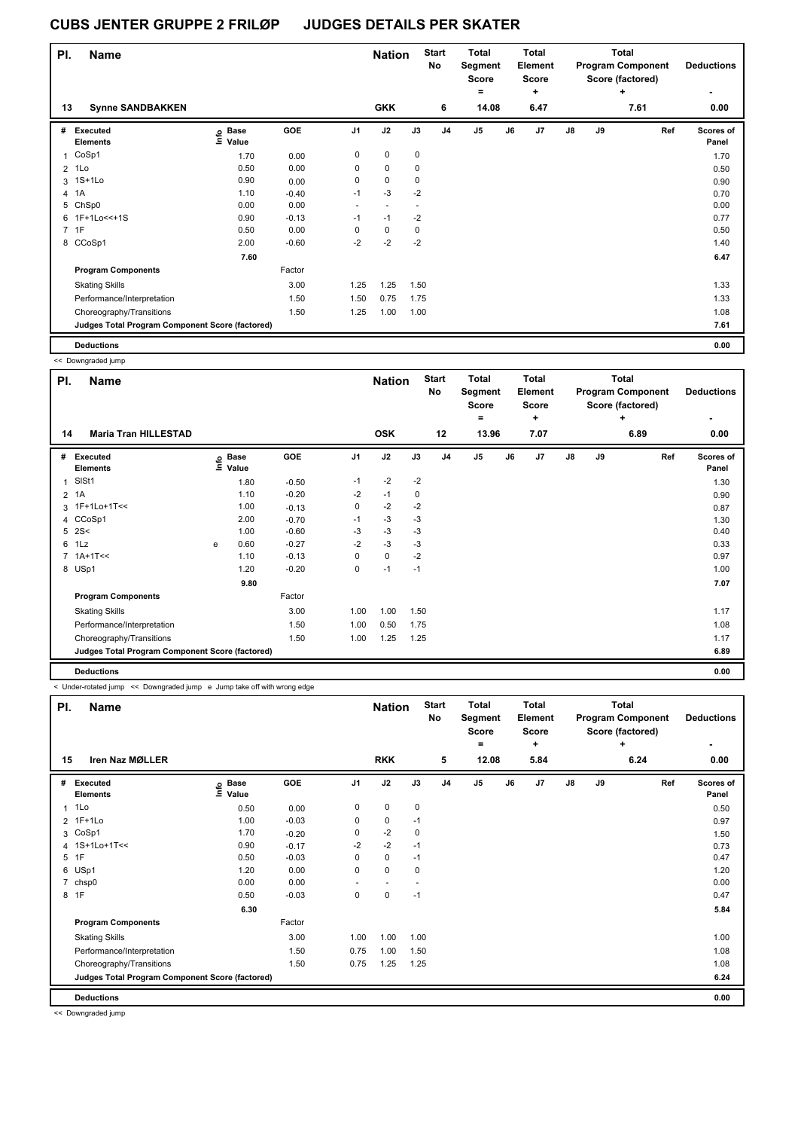| PI. | <b>Name</b>                                     |                                  |         |                | <b>Nation</b> |      | <b>Start</b><br>No | <b>Total</b><br>Segment<br>Score |    | Total<br>Element<br><b>Score</b> |               |    | <b>Total</b><br><b>Program Component</b><br>Score (factored) | <b>Deductions</b>  |
|-----|-------------------------------------------------|----------------------------------|---------|----------------|---------------|------|--------------------|----------------------------------|----|----------------------------------|---------------|----|--------------------------------------------------------------|--------------------|
| 13  | <b>Synne SANDBAKKEN</b>                         |                                  |         |                | <b>GKK</b>    |      | 6                  | ۰<br>14.08                       |    | ÷<br>6.47                        |               |    | ÷<br>7.61                                                    | 0.00               |
|     |                                                 |                                  |         |                |               |      |                    |                                  |    |                                  |               |    |                                                              |                    |
| #   | Executed<br><b>Elements</b>                     | <b>Base</b><br>e Base<br>E Value | GOE     | J <sub>1</sub> | J2            | J3   | J <sub>4</sub>     | J <sub>5</sub>                   | J6 | J7                               | $\mathsf{J}8$ | J9 | Ref                                                          | Scores of<br>Panel |
| 1   | CoSp1                                           | 1.70                             | 0.00    | 0              | $\mathbf 0$   | 0    |                    |                                  |    |                                  |               |    |                                                              | 1.70               |
|     | $2$ 1 Lo                                        | 0.50                             | 0.00    | 0              | $\mathbf 0$   | 0    |                    |                                  |    |                                  |               |    |                                                              | 0.50               |
| 3   | $1S+1Lo$                                        | 0.90                             | 0.00    | 0              | 0             | 0    |                    |                                  |    |                                  |               |    |                                                              | 0.90               |
| 4   | 1A                                              | 1.10                             | $-0.40$ | $-1$           | $-3$          | $-2$ |                    |                                  |    |                                  |               |    |                                                              | 0.70               |
| 5   | ChSp0                                           | 0.00                             | 0.00    |                |               |      |                    |                                  |    |                                  |               |    |                                                              | 0.00               |
|     | 6 1F+1Lo<<+1S                                   | 0.90                             | $-0.13$ | $-1$           | $-1$          | $-2$ |                    |                                  |    |                                  |               |    |                                                              | 0.77               |
|     | 7 1F                                            | 0.50                             | 0.00    | 0              | $\pmb{0}$     | 0    |                    |                                  |    |                                  |               |    |                                                              | 0.50               |
|     | 8 CCoSp1                                        | 2.00                             | $-0.60$ | $-2$           | $-2$          | $-2$ |                    |                                  |    |                                  |               |    |                                                              | 1.40               |
|     |                                                 | 7.60                             |         |                |               |      |                    |                                  |    |                                  |               |    |                                                              | 6.47               |
|     | <b>Program Components</b>                       |                                  | Factor  |                |               |      |                    |                                  |    |                                  |               |    |                                                              |                    |
|     | <b>Skating Skills</b>                           |                                  | 3.00    | 1.25           | 1.25          | 1.50 |                    |                                  |    |                                  |               |    |                                                              | 1.33               |
|     | Performance/Interpretation                      |                                  | 1.50    | 1.50           | 0.75          | 1.75 |                    |                                  |    |                                  |               |    |                                                              | 1.33               |
|     | Choreography/Transitions                        |                                  | 1.50    | 1.25           | 1.00          | 1.00 |                    |                                  |    |                                  |               |    |                                                              | 1.08               |
|     | Judges Total Program Component Score (factored) |                                  |         |                |               |      |                    |                                  |    |                                  |               |    |                                                              | 7.61               |
|     | <b>Deductions</b>                               |                                  |         |                |               |      |                    |                                  |    |                                  |               |    |                                                              | 0.00               |

<< Downgraded jump

| PI.            | <b>Name</b>                                     |   |                            |         |                | <b>Nation</b> |      | <b>Start</b><br>No | <b>Total</b><br>Segment<br><b>Score</b> |    | <b>Total</b><br>Element<br><b>Score</b> |               |    | <b>Total</b><br><b>Program Component</b><br>Score (factored) | <b>Deductions</b>  |
|----------------|-------------------------------------------------|---|----------------------------|---------|----------------|---------------|------|--------------------|-----------------------------------------|----|-----------------------------------------|---------------|----|--------------------------------------------------------------|--------------------|
|                |                                                 |   |                            |         |                |               |      |                    | =                                       |    | ٠                                       |               |    | ٠                                                            |                    |
| 14             | <b>Maria Tran HILLESTAD</b>                     |   |                            |         |                | <b>OSK</b>    |      | 12                 | 13.96                                   |    | 7.07                                    |               |    | 6.89                                                         | 0.00               |
| #              | <b>Executed</b><br><b>Elements</b>              |   | e Base<br>E Value<br>Value | GOE     | J <sub>1</sub> | J2            | J3   | J <sub>4</sub>     | J <sub>5</sub>                          | J6 | J7                                      | $\mathsf{J}8$ | J9 | Ref                                                          | Scores of<br>Panel |
| 1              | SISt1                                           |   | 1.80                       | $-0.50$ | $-1$           | $-2$          | $-2$ |                    |                                         |    |                                         |               |    |                                                              | 1.30               |
| $\overline{2}$ | 1A                                              |   | 1.10                       | $-0.20$ | $-2$           | $-1$          | 0    |                    |                                         |    |                                         |               |    |                                                              | 0.90               |
| $\mathbf{3}$   | 1F+1Lo+1T<<                                     |   | 1.00                       | $-0.13$ | 0              | $-2$          | $-2$ |                    |                                         |    |                                         |               |    |                                                              | 0.87               |
|                | 4 CCoSp1                                        |   | 2.00                       | $-0.70$ | $-1$           | $-3$          | $-3$ |                    |                                         |    |                                         |               |    |                                                              | 1.30               |
| 5              | 2S<                                             |   | 1.00                       | $-0.60$ | -3             | $-3$          | -3   |                    |                                         |    |                                         |               |    |                                                              | 0.40               |
| 6              | 1Lz                                             | е | 0.60                       | $-0.27$ | $-2$           | $-3$          | -3   |                    |                                         |    |                                         |               |    |                                                              | 0.33               |
|                | $7$ 1A+1T <<                                    |   | 1.10                       | $-0.13$ | 0              | $\pmb{0}$     | $-2$ |                    |                                         |    |                                         |               |    |                                                              | 0.97               |
|                | 8 USp1                                          |   | 1.20                       | $-0.20$ | 0              | $-1$          | $-1$ |                    |                                         |    |                                         |               |    |                                                              | 1.00               |
|                |                                                 |   | 9.80                       |         |                |               |      |                    |                                         |    |                                         |               |    |                                                              | 7.07               |
|                | <b>Program Components</b>                       |   |                            | Factor  |                |               |      |                    |                                         |    |                                         |               |    |                                                              |                    |
|                | <b>Skating Skills</b>                           |   |                            | 3.00    | 1.00           | 1.00          | 1.50 |                    |                                         |    |                                         |               |    |                                                              | 1.17               |
|                | Performance/Interpretation                      |   |                            | 1.50    | 1.00           | 0.50          | 1.75 |                    |                                         |    |                                         |               |    |                                                              | 1.08               |
|                | Choreography/Transitions                        |   |                            | 1.50    | 1.00           | 1.25          | 1.25 |                    |                                         |    |                                         |               |    |                                                              | 1.17               |
|                | Judges Total Program Component Score (factored) |   |                            |         |                |               |      |                    |                                         |    |                                         |               |    |                                                              | 6.89               |
|                | <b>Deductions</b>                               |   |                            |         |                |               |      |                    |                                         |    |                                         |               |    |                                                              | 0.00               |

< Under-rotated jump << Downgraded jump e Jump take off with wrong edge

| PI.                                             | <b>Name</b>                 |                              |         |                | <b>Nation</b> |      | <b>Start</b><br><b>No</b> | Total<br>Segment<br><b>Score</b><br>= |    | <b>Total</b><br>Element<br><b>Score</b><br>÷ |    |    | Total<br><b>Program Component</b><br>Score (factored)<br>٠ | <b>Deductions</b>  |
|-------------------------------------------------|-----------------------------|------------------------------|---------|----------------|---------------|------|---------------------------|---------------------------------------|----|----------------------------------------------|----|----|------------------------------------------------------------|--------------------|
| 15                                              | Iren Naz MØLLER             |                              |         |                | <b>RKK</b>    |      | 5                         | 12.08                                 |    | 5.84                                         |    |    | 6.24                                                       | 0.00               |
| #                                               | Executed<br><b>Elements</b> | <b>Base</b><br>lnfo<br>Value | GOE     | J <sub>1</sub> | J2            | J3   | J <sub>4</sub>            | J <sub>5</sub>                        | J6 | J <sub>7</sub>                               | J8 | J9 | Ref                                                        | Scores of<br>Panel |
| $\overline{1}$                                  | 1Lo                         | 0.50                         | 0.00    | 0              | $\pmb{0}$     | 0    |                           |                                       |    |                                              |    |    |                                                            | 0.50               |
| $\overline{2}$                                  | $1F+1Lo$                    | 1.00                         | $-0.03$ | 0              | 0             | $-1$ |                           |                                       |    |                                              |    |    |                                                            | 0.97               |
|                                                 | 3 CoSp1                     | 1.70                         | $-0.20$ | $\Omega$       | $-2$          | 0    |                           |                                       |    |                                              |    |    |                                                            | 1.50               |
|                                                 | 4 1S+1Lo+1T<<               | 0.90                         | $-0.17$ | $-2$           | $-2$          | $-1$ |                           |                                       |    |                                              |    |    |                                                            | 0.73               |
| 5                                               | 1F                          | 0.50                         | $-0.03$ | 0              | $\mathbf 0$   | $-1$ |                           |                                       |    |                                              |    |    |                                                            | 0.47               |
|                                                 | 6 USp1                      | 1.20                         | 0.00    | 0              | $\mathbf 0$   | 0    |                           |                                       |    |                                              |    |    |                                                            | 1.20               |
| $\overline{7}$                                  | chsp0                       | 0.00                         | 0.00    |                | $\sim$        |      |                           |                                       |    |                                              |    |    |                                                            | 0.00               |
|                                                 | 8 1F                        | 0.50                         | $-0.03$ | 0              | $\pmb{0}$     | $-1$ |                           |                                       |    |                                              |    |    |                                                            | 0.47               |
|                                                 |                             | 6.30                         |         |                |               |      |                           |                                       |    |                                              |    |    |                                                            | 5.84               |
|                                                 | <b>Program Components</b>   |                              | Factor  |                |               |      |                           |                                       |    |                                              |    |    |                                                            |                    |
|                                                 | <b>Skating Skills</b>       |                              | 3.00    | 1.00           | 1.00          | 1.00 |                           |                                       |    |                                              |    |    |                                                            | 1.00               |
|                                                 | Performance/Interpretation  |                              | 1.50    | 0.75           | 1.00          | 1.50 |                           |                                       |    |                                              |    |    |                                                            | 1.08               |
|                                                 | Choreography/Transitions    |                              | 1.50    | 0.75           | 1.25          | 1.25 |                           |                                       |    |                                              |    |    |                                                            | 1.08               |
| Judges Total Program Component Score (factored) |                             |                              |         |                |               |      |                           |                                       |    | 6.24                                         |    |    |                                                            |                    |
|                                                 | <b>Deductions</b>           |                              |         |                |               |      |                           |                                       |    |                                              |    |    |                                                            | 0.00               |

<< Downgraded jump